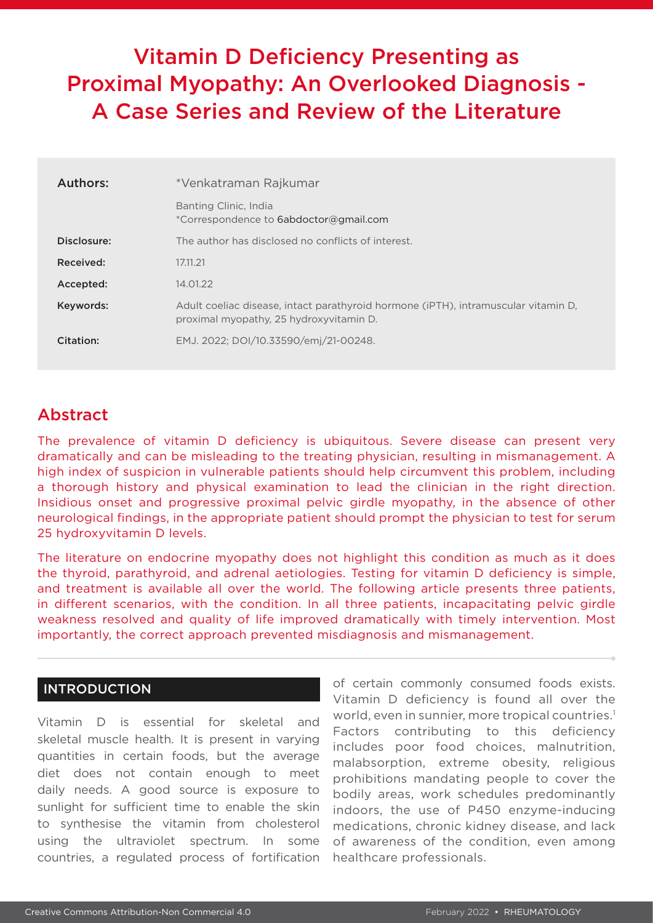# Vitamin D Deficiency Presenting as Proximal Myopathy: An Overlooked Diagnosis - A Case Series and Review of the Literature

| <b>Authors:</b> | *Venkatraman Rajkumar                                                                                                         |
|-----------------|-------------------------------------------------------------------------------------------------------------------------------|
|                 | Banting Clinic, India<br>*Correspondence to 6abdoctor@gmail.com                                                               |
| Disclosure:     | The author has disclosed no conflicts of interest.                                                                            |
| Received:       | 17.11.21                                                                                                                      |
| Accepted:       | 14.01.22                                                                                                                      |
| Keywords:       | Adult coeliac disease, intact parathyroid hormone (iPTH), intramuscular vitamin D,<br>proximal myopathy, 25 hydroxyvitamin D. |
| Citation:       | EMJ. 2022; DOI/10.33590/emj/21-00248.                                                                                         |

# Abstract

The prevalence of vitamin D deficiency is ubiquitous. Severe disease can present very dramatically and can be misleading to the treating physician, resulting in mismanagement. A high index of suspicion in vulnerable patients should help circumvent this problem, including a thorough history and physical examination to lead the clinician in the right direction. Insidious onset and progressive proximal pelvic girdle myopathy, in the absence of other neurological findings, in the appropriate patient should prompt the physician to test for serum 25 hydroxyvitamin D levels.

The literature on endocrine myopathy does not highlight this condition as much as it does the thyroid, parathyroid, and adrenal aetiologies. Testing for vitamin D deficiency is simple, and treatment is available all over the world. The following article presents three patients, in different scenarios, with the condition. In all three patients, incapacitating pelvic girdle weakness resolved and quality of life improved dramatically with timely intervention. Most importantly, the correct approach prevented misdiagnosis and mismanagement.

# INTRODUCTION

Vitamin D is essential for skeletal and skeletal muscle health. It is present in varying quantities in certain foods, but the average diet does not contain enough to meet daily needs. A good source is exposure to sunlight for sufficient time to enable the skin to synthesise the vitamin from cholesterol using the ultraviolet spectrum. In some countries, a regulated process of fortification

of certain commonly consumed foods exists. Vitamin D deficiency is found all over the world, even in sunnier, more tropical countries.<sup>1</sup> Factors contributing to this deficiency includes poor food choices, malnutrition, malabsorption, extreme obesity, religious prohibitions mandating people to cover the bodily areas, work schedules predominantly indoors, the use of P450 enzyme-inducing medications, chronic kidney disease, and lack of awareness of the condition, even among healthcare professionals.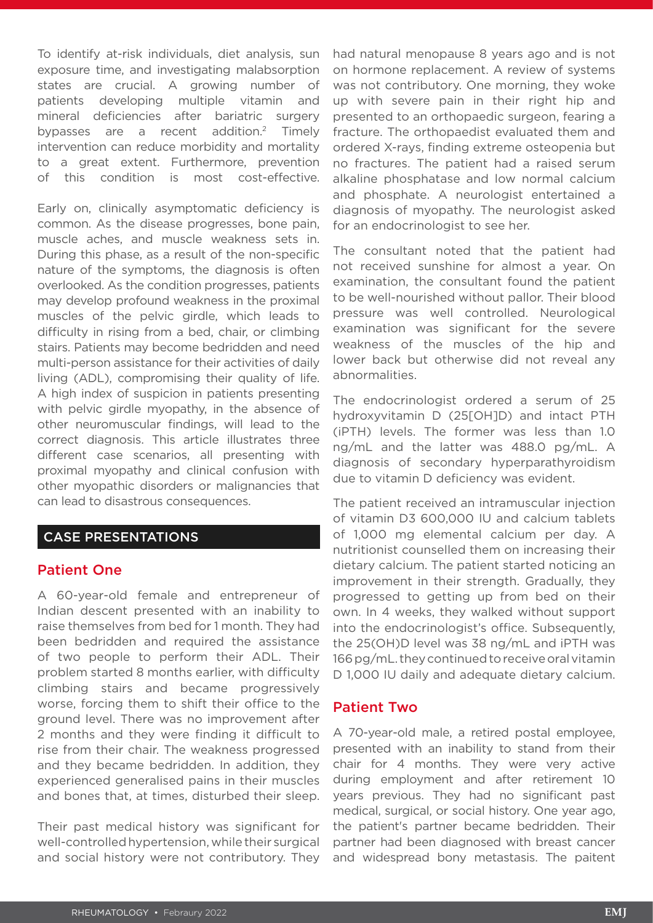To identify at-risk individuals, diet analysis, sun exposure time, and investigating malabsorption states are crucial. A growing number of patients developing multiple vitamin and mineral deficiencies after bariatric surgery bypasses are a recent addition.<sup>2</sup> Timely intervention can reduce morbidity and mortality to a great extent. Furthermore, prevention of this condition is most cost-effective.

Early on, clinically asymptomatic deficiency is common. As the disease progresses, bone pain, muscle aches, and muscle weakness sets in. During this phase, as a result of the non-specific nature of the symptoms, the diagnosis is often overlooked. As the condition progresses, patients may develop profound weakness in the proximal muscles of the pelvic girdle, which leads to difficulty in rising from a bed, chair, or climbing stairs. Patients may become bedridden and need multi-person assistance for their activities of daily living (ADL), compromising their quality of life. A high index of suspicion in patients presenting with pelvic girdle myopathy, in the absence of other neuromuscular findings, will lead to the correct diagnosis. This article illustrates three different case scenarios, all presenting with proximal myopathy and clinical confusion with other myopathic disorders or malignancies that can lead to disastrous consequences.

# CASE PRESENTATIONS

## Patient One

A 60-year-old female and entrepreneur of Indian descent presented with an inability to raise themselves from bed for 1 month. They had been bedridden and required the assistance of two people to perform their ADL. Their problem started 8 months earlier, with difficulty climbing stairs and became progressively worse, forcing them to shift their office to the ground level. There was no improvement after 2 months and they were finding it difficult to rise from their chair. The weakness progressed and they became bedridden. In addition, they experienced generalised pains in their muscles and bones that, at times, disturbed their sleep.

Their past medical history was significant for well-controlled hypertension, while their surgical and social history were not contributory. They had natural menopause 8 years ago and is not on hormone replacement. A review of systems was not contributory. One morning, they woke up with severe pain in their right hip and presented to an orthopaedic surgeon, fearing a fracture. The orthopaedist evaluated them and ordered X-rays, finding extreme osteopenia but no fractures. The patient had a raised serum alkaline phosphatase and low normal calcium and phosphate. A neurologist entertained a diagnosis of myopathy. The neurologist asked for an endocrinologist to see her.

The consultant noted that the patient had not received sunshine for almost a year. On examination, the consultant found the patient to be well-nourished without pallor. Their blood pressure was well controlled. Neurological examination was significant for the severe weakness of the muscles of the hip and lower back but otherwise did not reveal any abnormalities.

The endocrinologist ordered a serum of 25 hydroxyvitamin D (25[OH]D) and intact PTH (iPTH) levels. The former was less than 1.0 ng/mL and the latter was 488.0 pg/mL. A diagnosis of secondary hyperparathyroidism due to vitamin D deficiency was evident.

The patient received an intramuscular injection of vitamin D3 600,000 IU and calcium tablets of 1,000 mg elemental calcium per day. A nutritionist counselled them on increasing their dietary calcium. The patient started noticing an improvement in their strength. Gradually, they progressed to getting up from bed on their own. In 4 weeks, they walked without support into the endocrinologist's office. Subsequently, the 25(OH)D level was 38 ng/mL and iPTH was 166 pg/mL. they continued to receive oral vitamin D 1,000 IU daily and adequate dietary calcium.

# Patient Two

A 70-year-old male, a retired postal employee, presented with an inability to stand from their chair for 4 months. They were very active during employment and after retirement 10 years previous. They had no significant past medical, surgical, or social history. One year ago, the patient's partner became bedridden. Their partner had been diagnosed with breast cancer and widespread bony metastasis. The paitent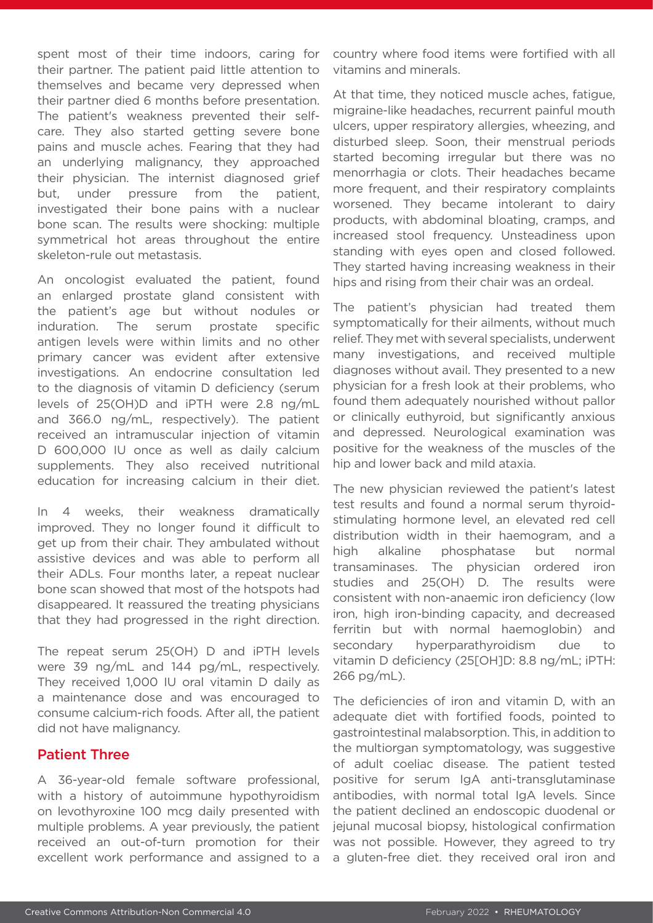spent most of their time indoors, caring for their partner. The patient paid little attention to themselves and became very depressed when their partner died 6 months before presentation. The patient's weakness prevented their selfcare. They also started getting severe bone pains and muscle aches. Fearing that they had an underlying malignancy, they approached their physician. The internist diagnosed grief but, under pressure from the patient, investigated their bone pains with a nuclear bone scan. The results were shocking: multiple symmetrical hot areas throughout the entire skeleton-rule out metastasis.

An oncologist evaluated the patient, found an enlarged prostate gland consistent with the patient's age but without nodules or induration. The serum prostate specific antigen levels were within limits and no other primary cancer was evident after extensive investigations. An endocrine consultation led to the diagnosis of vitamin D deficiency (serum levels of 25(OH)D and iPTH were 2.8 ng/mL and 366.0 ng/mL, respectively). The patient received an intramuscular injection of vitamin D 600,000 IU once as well as daily calcium supplements. They also received nutritional education for increasing calcium in their diet.

In 4 weeks, their weakness dramatically improved. They no longer found it difficult to get up from their chair. They ambulated without assistive devices and was able to perform all their ADLs. Four months later, a repeat nuclear bone scan showed that most of the hotspots had disappeared. It reassured the treating physicians that they had progressed in the right direction.

The repeat serum 25(OH) D and iPTH levels were 39 ng/mL and 144 pg/mL, respectively. They received 1,000 IU oral vitamin D daily as a maintenance dose and was encouraged to consume calcium-rich foods. After all, the patient did not have malignancy.

# Patient Three

A 36-year-old female software professional, with a history of autoimmune hypothyroidism on levothyroxine 100 mcg daily presented with multiple problems. A year previously, the patient received an out-of-turn promotion for their excellent work performance and assigned to a

country where food items were fortified with all vitamins and minerals.

At that time, they noticed muscle aches, fatigue, migraine-like headaches, recurrent painful mouth ulcers, upper respiratory allergies, wheezing, and disturbed sleep. Soon, their menstrual periods started becoming irregular but there was no menorrhagia or clots. Their headaches became more frequent, and their respiratory complaints worsened. They became intolerant to dairy products, with abdominal bloating, cramps, and increased stool frequency. Unsteadiness upon standing with eyes open and closed followed. They started having increasing weakness in their hips and rising from their chair was an ordeal.

The patient's physician had treated them symptomatically for their ailments, without much relief. They met with several specialists, underwent many investigations, and received multiple diagnoses without avail. They presented to a new physician for a fresh look at their problems, who found them adequately nourished without pallor or clinically euthyroid, but significantly anxious and depressed. Neurological examination was positive for the weakness of the muscles of the hip and lower back and mild ataxia.

The new physician reviewed the patient's latest test results and found a normal serum thyroidstimulating hormone level, an elevated red cell distribution width in their haemogram, and a high alkaline phosphatase but normal transaminases. The physician ordered iron studies and 25(OH) D. The results were consistent with non-anaemic iron deficiency (low iron, high iron-binding capacity, and decreased ferritin but with normal haemoglobin) and secondary hyperparathyroidism due to vitamin D deficiency (25[OH]D: 8.8 ng/mL; iPTH: 266 pg/mL).

The deficiencies of iron and vitamin D, with an adequate diet with fortified foods, pointed to gastrointestinal malabsorption. This, in addition to the multiorgan symptomatology, was suggestive of adult coeliac disease. The patient tested positive for serum IgA anti-transglutaminase antibodies, with normal total IgA levels. Since the patient declined an endoscopic duodenal or jejunal mucosal biopsy, histological confirmation was not possible. However, they agreed to try a gluten-free diet. they received oral iron and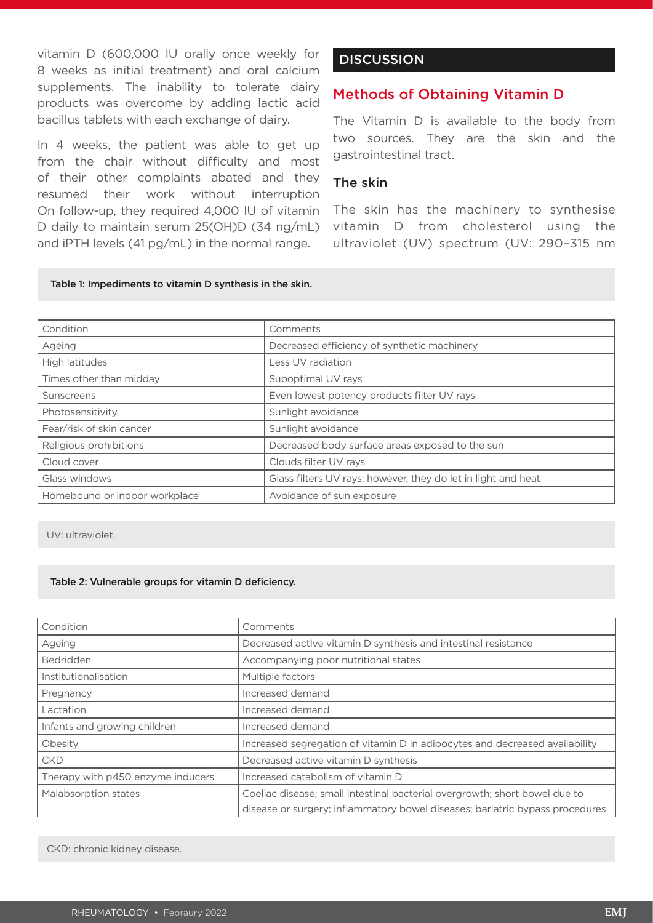vitamin D (600,000 IU orally once weekly for 8 weeks as initial treatment) and oral calcium supplements. The inability to tolerate dairy products was overcome by adding lactic acid bacillus tablets with each exchange of dairy.

In 4 weeks, the patient was able to get up from the chair without difficulty and most of their other complaints abated and they resumed their work without interruption On follow-up, they required 4,000 IU of vitamin D daily to maintain serum 25(OH)D (34 ng/mL) and iPTH levels (41 pg/mL) in the normal range.

# **DISCUSSION**

# Methods of Obtaining Vitamin D

The Vitamin D is available to the body from two sources. They are the skin and the gastrointestinal tract.

## The skin

The skin has the machinery to synthesise vitamin D from cholesterol using the ultraviolet (UV) spectrum (UV: 290–315 nm

#### Table 1: Impediments to vitamin D synthesis in the skin.

| Condition                     | Comments                                                      |
|-------------------------------|---------------------------------------------------------------|
| Ageing                        | Decreased efficiency of synthetic machinery                   |
| High latitudes                | Less UV radiation                                             |
| Times other than midday       | Suboptimal UV rays                                            |
| Sunscreens                    | Even lowest potency products filter UV rays                   |
| Photosensitivity              | Sunlight avoidance                                            |
| Fear/risk of skin cancer      | Sunlight avoidance                                            |
| Religious prohibitions        | Decreased body surface areas exposed to the sun               |
| Cloud cover                   | Clouds filter UV rays                                         |
| Glass windows                 | Glass filters UV rays; however, they do let in light and heat |
| Homebound or indoor workplace | Avoidance of sun exposure                                     |

UV: ultraviolet.

#### Table 2: Vulnerable groups for vitamin D deficiency.

| Condition                         | Comments                                                                     |
|-----------------------------------|------------------------------------------------------------------------------|
| Ageing                            | Decreased active vitamin D synthesis and intestinal resistance               |
| <b>Bedridden</b>                  | Accompanying poor nutritional states                                         |
| Institutionalisation              | Multiple factors                                                             |
| Pregnancy                         | Increased demand                                                             |
| Lactation                         | Increased demand                                                             |
| Infants and growing children      | Increased demand                                                             |
| Obesity                           | Increased segregation of vitamin D in adipocytes and decreased availability  |
| <b>CKD</b>                        | Decreased active vitamin D synthesis                                         |
| Therapy with p450 enzyme inducers | Increased catabolism of vitamin D                                            |
| Malabsorption states              | Coeliac disease; small intestinal bacterial overgrowth; short bowel due to   |
|                                   | disease or surgery; inflammatory bowel diseases; bariatric bypass procedures |

CKD: chronic kidney disease.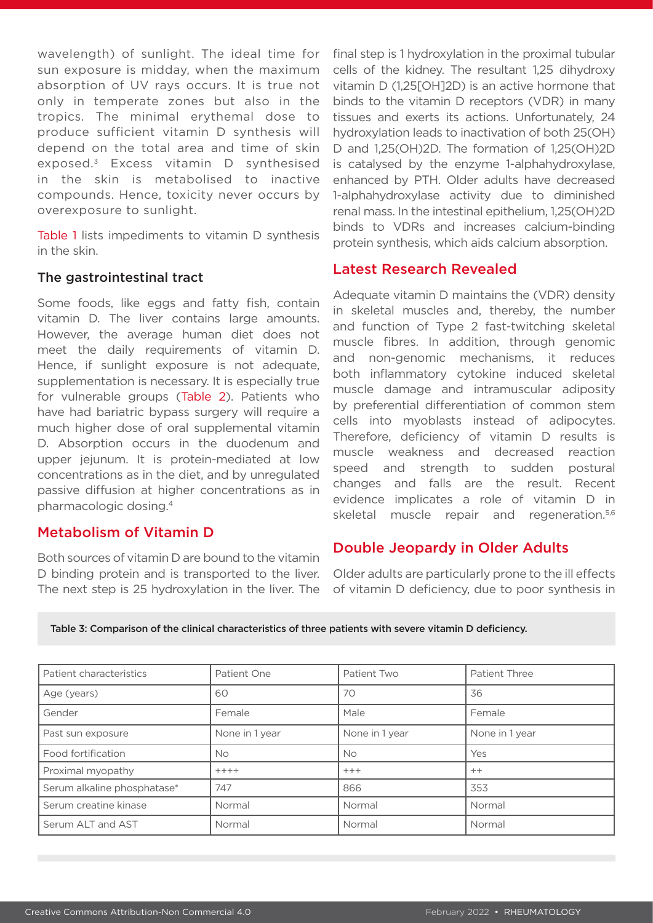wavelength) of sunlight. The ideal time for sun exposure is midday, when the maximum absorption of UV rays occurs. It is true not only in temperate zones but also in the tropics. The minimal erythemal dose to produce sufficient vitamin D synthesis will depend on the total area and time of skin exposed.3 Excess vitamin D synthesised in the skin is metabolised to inactive compounds. Hence, toxicity never occurs by overexposure to sunlight.

Table 1 lists impediments to vitamin D synthesis in the skin.

## The gastrointestinal tract

Some foods, like eggs and fatty fish, contain vitamin D. The liver contains large amounts. However, the average human diet does not meet the daily requirements of vitamin D. Hence, if sunlight exposure is not adequate, supplementation is necessary. It is especially true for vulnerable groups (Table 2). Patients who have had bariatric bypass surgery will require a much higher dose of oral supplemental vitamin D. Absorption occurs in the duodenum and upper jejunum. It is protein-mediated at low concentrations as in the diet, and by unregulated passive diffusion at higher concentrations as in pharmacologic dosing.4

# Metabolism of Vitamin D

Both sources of vitamin D are bound to the vitamin D binding protein and is transported to the liver. The next step is 25 hydroxylation in the liver. The

final step is 1 hydroxylation in the proximal tubular cells of the kidney. The resultant 1,25 dihydroxy vitamin D (1,25[OH]2D) is an active hormone that binds to the vitamin D receptors (VDR) in many tissues and exerts its actions. Unfortunately, 24 hydroxylation leads to inactivation of both 25(OH) D and 1,25(OH)2D. The formation of 1,25(OH)2D is catalysed by the enzyme 1-alphahydroxylase, enhanced by PTH. Older adults have decreased 1-alphahydroxylase activity due to diminished renal mass. In the intestinal epithelium, 1,25(OH)2D binds to VDRs and increases calcium-binding protein synthesis, which aids calcium absorption.

# Latest Research Revealed

Adequate vitamin D maintains the (VDR) density in skeletal muscles and, thereby, the number and function of Type 2 fast-twitching skeletal muscle fibres. In addition, through genomic and non-genomic mechanisms, it reduces both inflammatory cytokine induced skeletal muscle damage and intramuscular adiposity by preferential differentiation of common stem cells into myoblasts instead of adipocytes. Therefore, deficiency of vitamin D results is muscle weakness and decreased reaction speed and strength to sudden postural changes and falls are the result. Recent evidence implicates a role of vitamin D in skeletal muscle repair and regeneration.<sup>5,6</sup>

# Double Jeopardy in Older Adults

Older adults are particularly prone to the ill effects of vitamin D deficiency, due to poor synthesis in

| Table 3: Comparison of the clinical characteristics of three patients with severe vitamin D deficiency. |  |  |  |
|---------------------------------------------------------------------------------------------------------|--|--|--|
|                                                                                                         |  |  |  |

| Patient characteristics     | Patient One    | Patient Two    | Patient Three  |
|-----------------------------|----------------|----------------|----------------|
| Age (years)                 | 60             | 70             | 36             |
| Gender                      | Female         | Male           | Female         |
| Past sun exposure           | None in 1 year | None in 1 year | None in 1 year |
| Food fortification          | <b>No</b>      | <b>No</b>      | Yes            |
| Proximal myopathy           | $++++$         | $+++$          | $++$           |
| Serum alkaline phosphatase* | 747            | 866            | 353            |
| Serum creatine kinase       | Normal         | Normal         | Normal         |
| Serum ALT and AST           | Normal         | Normal         | Normal         |
|                             |                |                |                |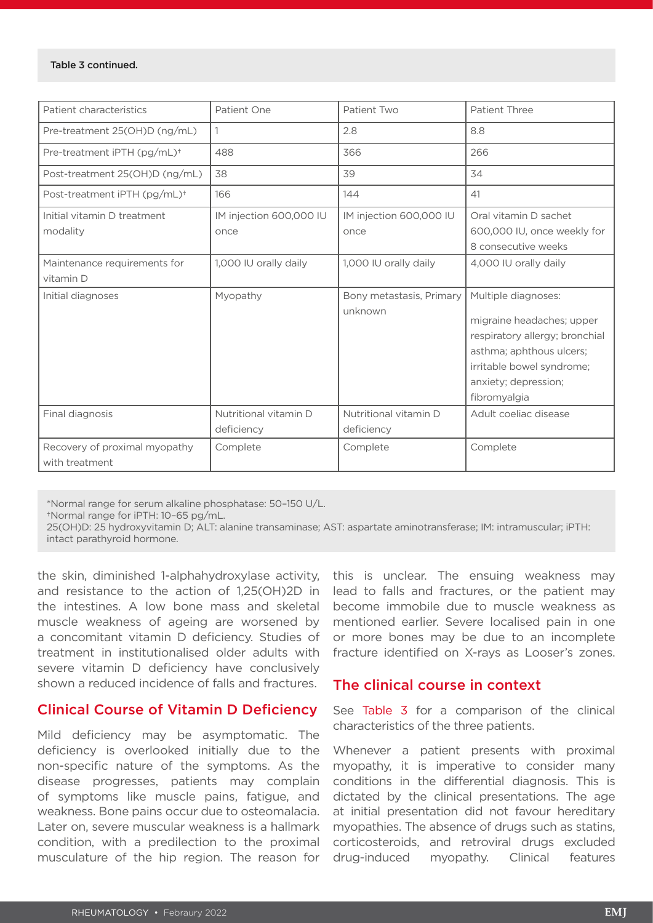#### Table 3 continued.

| Patient characteristics                         | Patient One                         | Patient Two                         | Patient Three                                                                                                                                                                       |
|-------------------------------------------------|-------------------------------------|-------------------------------------|-------------------------------------------------------------------------------------------------------------------------------------------------------------------------------------|
| Pre-treatment 25(OH)D (ng/mL)                   | 1                                   | 2.8                                 | 8.8                                                                                                                                                                                 |
| Pre-treatment iPTH (pg/mL) <sup>+</sup>         | 488                                 | 366                                 | 266                                                                                                                                                                                 |
| Post-treatment 25(OH)D (ng/mL)                  | 38                                  | 39                                  | 34                                                                                                                                                                                  |
| Post-treatment iPTH (pg/mL) <sup>+</sup>        | 166                                 | 144                                 | 41                                                                                                                                                                                  |
| Initial vitamin D treatment<br>modality         | IM injection 600,000 IU<br>once     | IM injection 600,000 IU<br>once     | Oral vitamin D sachet<br>600,000 IU, once weekly for<br>8 consecutive weeks                                                                                                         |
| Maintenance requirements for<br>vitamin D       | 1,000 IU orally daily               | 1,000 IU orally daily               | 4,000 IU orally daily                                                                                                                                                               |
| Initial diagnoses                               | Myopathy                            | Bony metastasis, Primary<br>unknown | Multiple diagnoses:<br>migraine headaches; upper<br>respiratory allergy; bronchial<br>asthma; aphthous ulcers;<br>irritable bowel syndrome;<br>anxiety; depression;<br>fibromyalgia |
| Final diagnosis                                 | Nutritional vitamin D<br>deficiency | Nutritional vitamin D<br>deficiency | Adult coeliac disease                                                                                                                                                               |
| Recovery of proximal myopathy<br>with treatment | Complete                            | Complete                            | Complete                                                                                                                                                                            |

\*Normal range for serum alkaline phosphatase: 50–150 U/L.

†Normal range for iPTH: 10–65 pg/mL.

25(OH)D: 25 hydroxyvitamin D; ALT: alanine transaminase; AST: aspartate aminotransferase; IM: intramuscular; iPTH: intact parathyroid hormone.

the skin, diminished 1-alphahydroxylase activity, and resistance to the action of 1,25(OH)2D in the intestines. A low bone mass and skeletal muscle weakness of ageing are worsened by a concomitant vitamin D deficiency. Studies of treatment in institutionalised older adults with severe vitamin D deficiency have conclusively shown a reduced incidence of falls and fractures.

# Clinical Course of Vitamin D Deficiency

Mild deficiency may be asymptomatic. The deficiency is overlooked initially due to the non-specific nature of the symptoms. As the disease progresses, patients may complain of symptoms like muscle pains, fatigue, and weakness. Bone pains occur due to osteomalacia. Later on, severe muscular weakness is a hallmark condition, with a predilection to the proximal musculature of the hip region. The reason for

this is unclear. The ensuing weakness may lead to falls and fractures, or the patient may become immobile due to muscle weakness as mentioned earlier. Severe localised pain in one or more bones may be due to an incomplete fracture identified on X-rays as Looser's zones.

# The clinical course in context

See Table 3 for a comparison of the clinical characteristics of the three patients.

Whenever a patient presents with proximal myopathy, it is imperative to consider many conditions in the differential diagnosis. This is dictated by the clinical presentations. The age at initial presentation did not favour hereditary myopathies. The absence of drugs such as statins, corticosteroids, and retroviral drugs excluded drug-induced myopathy. Clinical features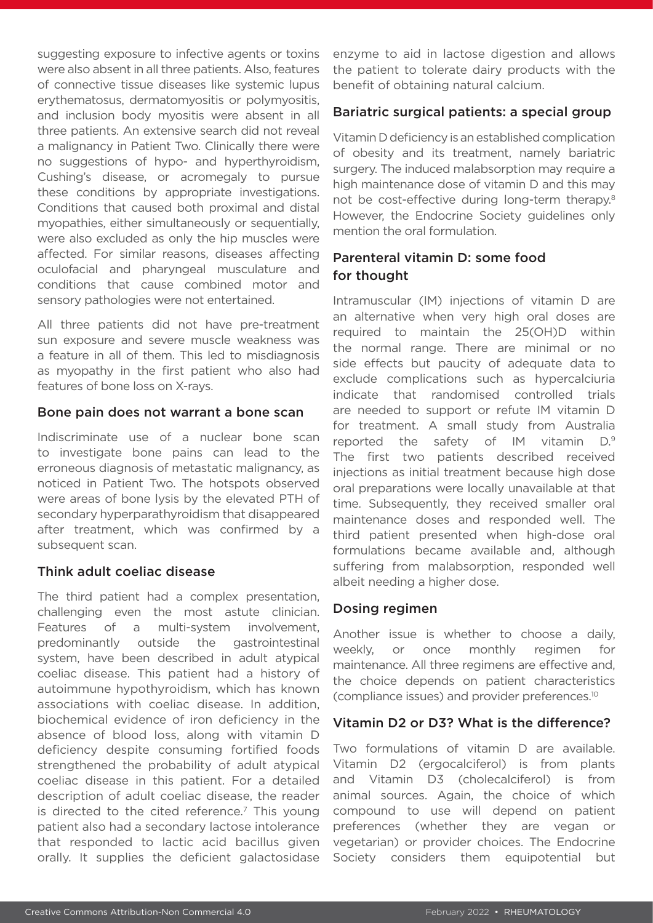suggesting exposure to infective agents or toxins were also absent in all three patients. Also, features of connective tissue diseases like systemic lupus erythematosus, dermatomyositis or polymyositis, and inclusion body myositis were absent in all three patients. An extensive search did not reveal a malignancy in Patient Two. Clinically there were no suggestions of hypo- and hyperthyroidism, Cushing's disease, or acromegaly to pursue these conditions by appropriate investigations. Conditions that caused both proximal and distal myopathies, either simultaneously or sequentially, were also excluded as only the hip muscles were affected. For similar reasons, diseases affecting oculofacial and pharyngeal musculature and conditions that cause combined motor and sensory pathologies were not entertained.

All three patients did not have pre-treatment sun exposure and severe muscle weakness was a feature in all of them. This led to misdiagnosis as myopathy in the first patient who also had features of bone loss on X-rays.

## Bone pain does not warrant a bone scan

Indiscriminate use of a nuclear bone scan to investigate bone pains can lead to the erroneous diagnosis of metastatic malignancy, as noticed in Patient Two. The hotspots observed were areas of bone lysis by the elevated PTH of secondary hyperparathyroidism that disappeared after treatment, which was confirmed by a subsequent scan.

## Think adult coeliac disease

The third patient had a complex presentation, challenging even the most astute clinician. Features of a multi-system involvement, predominantly outside the gastrointestinal system, have been described in adult atypical coeliac disease. This patient had a history of autoimmune hypothyroidism, which has known associations with coeliac disease. In addition, biochemical evidence of iron deficiency in the absence of blood loss, along with vitamin D deficiency despite consuming fortified foods strengthened the probability of adult atypical coeliac disease in this patient. For a detailed description of adult coeliac disease, the reader is directed to the cited reference. $<sup>7</sup>$  This young</sup> patient also had a secondary lactose intolerance that responded to lactic acid bacillus given orally. It supplies the deficient galactosidase

enzyme to aid in lactose digestion and allows the patient to tolerate dairy products with the benefit of obtaining natural calcium.

# Bariatric surgical patients: a special group

Vitamin D deficiency is an established complication of obesity and its treatment, namely bariatric surgery. The induced malabsorption may require a high maintenance dose of vitamin D and this may not be cost-effective during long-term therapy.<sup>8</sup> However, the Endocrine Society guidelines only mention the oral formulation.

# Parenteral vitamin D: some food for thought

Intramuscular (IM) injections of vitamin D are an alternative when very high oral doses are required to maintain the 25(OH)D within the normal range. There are minimal or no side effects but paucity of adequate data to exclude complications such as hypercalciuria indicate that randomised controlled trials are needed to support or refute IM vitamin D for treatment. A small study from Australia reported the safety of IM vitamin D.9 The first two patients described received injections as initial treatment because high dose oral preparations were locally unavailable at that time. Subsequently, they received smaller oral maintenance doses and responded well. The third patient presented when high-dose oral formulations became available and, although suffering from malabsorption, responded well albeit needing a higher dose.

# Dosing regimen

Another issue is whether to choose a daily, weekly, or once monthly regimen for maintenance. All three regimens are effective and, the choice depends on patient characteristics (compliance issues) and provider preferences.10

## Vitamin D2 or D3? What is the difference?

Two formulations of vitamin D are available. Vitamin D2 (ergocalciferol) is from plants and Vitamin D3 (cholecalciferol) is from animal sources. Again, the choice of which compound to use will depend on patient preferences (whether they are vegan or vegetarian) or provider choices. The Endocrine Society considers them equipotential but